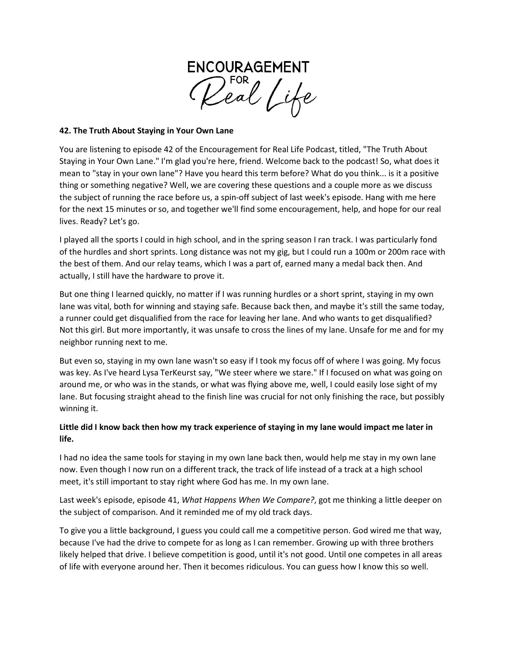

#### **42. The Truth About Staying in Your Own Lane**

You are listening to episode 42 of the Encouragement for Real Life Podcast, titled, "The Truth About Staying in Your Own Lane." I'm glad you're here, friend. Welcome back to the podcast! So, what does it mean to "stay in your own lane"? Have you heard this term before? What do you think... is it a positive thing or something negative? Well, we are covering these questions and a couple more as we discuss the subject of running the race before us, a spin-off subject of last week's episode. Hang with me here for the next 15 minutes or so, and together we'll find some encouragement, help, and hope for our real lives. Ready? Let's go.

I played all the sports I could in high school, and in the spring season I ran track. I was particularly fond of the hurdles and short sprints. Long distance was not my gig, but I could run a 100m or 200m race with the best of them. And our relay teams, which I was a part of, earned many a medal back then. And actually, I still have the hardware to prove it.

But one thing I learned quickly, no matter if I was running hurdles or a short sprint, staying in my own lane was vital, both for winning and staying safe. Because back then, and maybe it's still the same today, a runner could get disqualified from the race for leaving her lane. And who wants to get disqualified? Not this girl. But more importantly, it was unsafe to cross the lines of my lane. Unsafe for me and for my neighbor running next to me.

But even so, staying in my own lane wasn't so easy if I took my focus off of where I was going. My focus was key. As I've heard Lysa TerKeurst say, "We steer where we stare." If I focused on what was going on around me, or who was in the stands, or what was flying above me, well, I could easily lose sight of my lane. But focusing straight ahead to the finish line was crucial for not only finishing the race, but possibly winning it.

# **Little did I know back then how my track experience of staying in my lane would impact me later in life.**

I had no idea the same tools for staying in my own lane back then, would help me stay in my own lane now. Even though I now run on a different track, the track of life instead of a track at a high school meet, it's still important to stay right where God has me. In my own lane.

Last week's episode, episode 41, *What Happens When We Compare?*, got me thinking a little deeper on the subject of comparison. And it reminded me of my old track days.

To give you a little background, I guess you could call me a competitive person. God wired me that way, because I've had the drive to compete for as long as I can remember. Growing up with three brothers likely helped that drive. I believe competition is good, until it's not good. Until one competes in all areas of life with everyone around her. Then it becomes ridiculous. You can guess how I know this so well.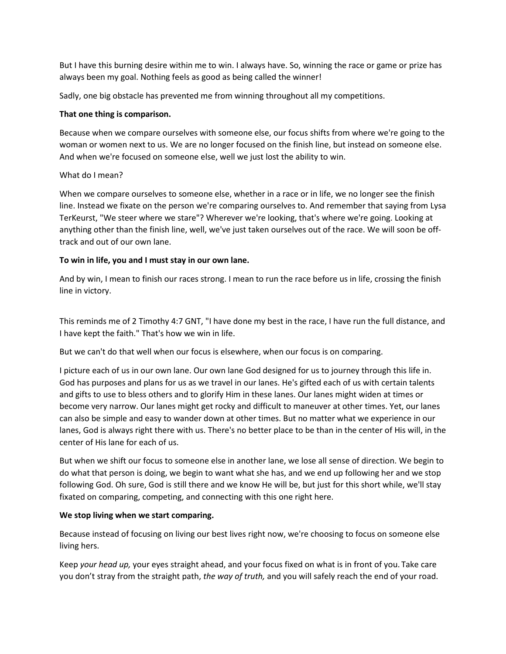But I have this burning desire within me to win. I always have. So, winning the race or game or prize has always been my goal. Nothing feels as good as being called the winner!

Sadly, one big obstacle has prevented me from winning throughout all my competitions.

#### **That one thing is comparison.**

Because when we compare ourselves with someone else, our focus shifts from where we're going to the woman or women next to us. We are no longer focused on the finish line, but instead on someone else. And when we're focused on someone else, well we just lost the ability to win.

## What do I mean?

When we compare ourselves to someone else, whether in a race or in life, we no longer see the finish line. Instead we fixate on the person we're comparing ourselves to. And remember that saying from Lysa TerKeurst, "We steer where we stare"? Wherever we're looking, that's where we're going. Looking at anything other than the finish line, well, we've just taken ourselves out of the race. We will soon be offtrack and out of our own lane.

## **To win in life, you and I must stay in our own lane.**

And by win, I mean to finish our races strong. I mean to run the race before us in life, crossing the finish line in victory.

This reminds me of 2 Timothy 4:7 GNT, "I have done my best in the race, I have run the full distance, and I have kept the faith." That's how we win in life.

But we can't do that well when our focus is elsewhere, when our focus is on comparing.

I picture each of us in our own lane. Our own lane God designed for us to journey through this life in. God has purposes and plans for us as we travel in our lanes. He's gifted each of us with certain talents and gifts to use to bless others and to glorify Him in these lanes. Our lanes might widen at times or become very narrow. Our lanes might get rocky and difficult to maneuver at other times. Yet, our lanes can also be simple and easy to wander down at other times. But no matter what we experience in our lanes, God is always right there with us. There's no better place to be than in the center of His will, in the center of His lane for each of us.

But when we shift our focus to someone else in another lane, we lose all sense of direction. We begin to do what that person is doing, we begin to want what she has, and we end up following her and we stop following God. Oh sure, God is still there and we know He will be, but just for this short while, we'll stay fixated on comparing, competing, and connecting with this one right here.

#### **We stop living when we start comparing.**

Because instead of focusing on living our best lives right now, we're choosing to focus on someone else living hers.

Keep *your head up,* your eyes straight ahead, and your focus fixed on what is in front of you. Take care you don't stray from the straight path, *the way of truth,* and you will safely reach the end of your road.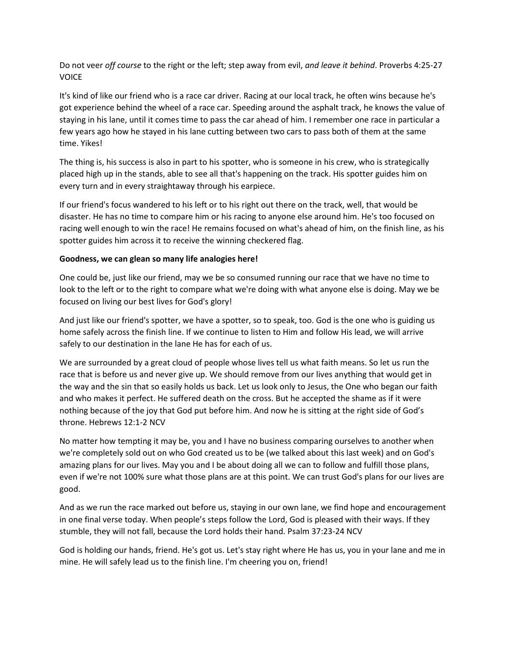Do not veer *off course* to the right or the left; step away from evil, *and leave it behind*. Proverbs 4:25-27 **VOICE** 

It's kind of like our friend who is a race car driver. Racing at our local track, he often wins because he's got experience behind the wheel of a race car. Speeding around the asphalt track, he knows the value of staying in his lane, until it comes time to pass the car ahead of him. I remember one race in particular a few years ago how he stayed in his lane cutting between two cars to pass both of them at the same time. Yikes!

The thing is, his success is also in part to his spotter, who is someone in his crew, who is strategically placed high up in the stands, able to see all that's happening on the track. His spotter guides him on every turn and in every straightaway through his earpiece.

If our friend's focus wandered to his left or to his right out there on the track, well, that would be disaster. He has no time to compare him or his racing to anyone else around him. He's too focused on racing well enough to win the race! He remains focused on what's ahead of him, on the finish line, as his spotter guides him across it to receive the winning checkered flag.

## **Goodness, we can glean so many life analogies here!**

One could be, just like our friend, may we be so consumed running our race that we have no time to look to the left or to the right to compare what we're doing with what anyone else is doing. May we be focused on living our best lives for God's glory!

And just like our friend's spotter, we have a spotter, so to speak, too. God is the one who is guiding us home safely across the finish line. If we continue to listen to Him and follow His lead, we will arrive safely to our destination in the lane He has for each of us.

We are surrounded by a great cloud of people whose lives tell us what faith means. So let us run the race that is before us and never give up. We should remove from our lives anything that would get in the way and the sin that so easily holds us back. Let us look only to Jesus, the One who began our faith and who makes it perfect. He suffered death on the cross. But he accepted the shame as if it were nothing because of the joy that God put before him. And now he is sitting at the right side of God's throne. Hebrews 12:1-2 NCV

No matter how tempting it may be, you and I have no business comparing ourselves to another when we're completely sold out on who God created us to be (we talked about this last week) and on God's amazing plans for our lives. May you and I be about doing all we can to follow and fulfill those plans, even if we're not 100% sure what those plans are at this point. We can trust God's plans for our lives are good.

And as we run the race marked out before us, staying in our own lane, we find hope and encouragement in one final verse today. When people's steps follow the Lord, God is pleased with their ways. If they stumble, they will not fall, because the Lord holds their hand. Psalm 37:23-24 NCV

God is holding our hands, friend. He's got us. Let's stay right where He has us, you in your lane and me in mine. He will safely lead us to the finish line. I'm cheering you on, friend!